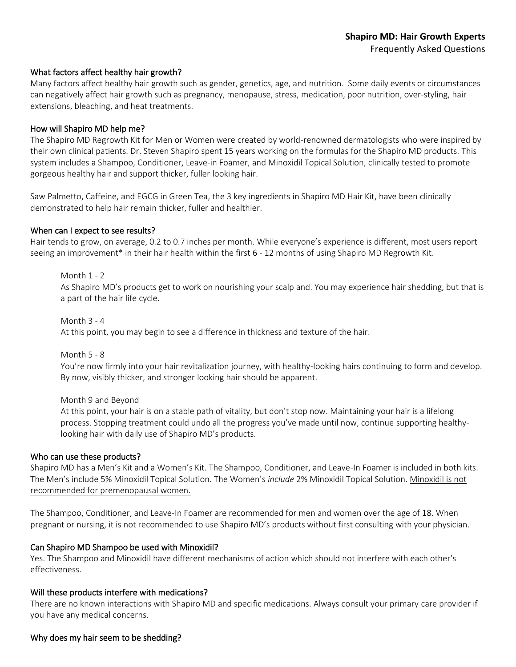### What factors affect healthy hair growth?

Many factors affect healthy hair growth such as gender, genetics, age, and nutrition. Some daily events or circumstances can negatively affect hair growth such as pregnancy, menopause, stress, medication, poor nutrition, over-styling, hair extensions, bleaching, and heat treatments.

### How will Shapiro MD help me?

The Shapiro MD Regrowth Kit for Men or Women were created by world-renowned dermatologists who were inspired by their own clinical patients. Dr. Steven Shapiro spent 15 years working on the formulas for the Shapiro MD products. This system includes a Shampoo, Conditioner, Leave-in Foamer, and Minoxidil Topical Solution, clinically tested to promote gorgeous healthy hair and support thicker, fuller looking hair.

Saw Palmetto, Caffeine, and EGCG in Green Tea, the 3 key ingredients in Shapiro MD Hair Kit, have been clinically demonstrated to help hair remain thicker, fuller and healthier.

### When can I expect to see results?

Hair tends to grow, on average, 0.2 to 0.7 inches per month. While everyone's experience is different, most users report seeing an improvement\* in their hair health within the first 6 - 12 months of using Shapiro MD Regrowth Kit.

Month 1 - 2 As Shapiro MD's products get to work on nourishing your scalp and. You may experience hair shedding, but that is a part of the hair life cycle.

Month 3 - 4 At this point, you may begin to see a difference in thickness and texture of the hair.

Month 5 - 8 You're now firmly into your hair revitalization journey, with healthy-looking hairs continuing to form and develop. By now, visibly thicker, and stronger looking hair should be apparent.

Month 9 and Beyond

At this point, your hair is on a stable path of vitality, but don't stop now. Maintaining your hair is a lifelong process. Stopping treatment could undo all the progress you've made until now, continue supporting healthylooking hair with daily use of Shapiro MD's products.

#### Who can use these products?

Shapiro MD has a Men's Kit and a Women's Kit. The Shampoo, Conditioner, and Leave-In Foamer is included in both kits. The Men's include 5% Minoxidil Topical Solution. The Women's *include* 2% Minoxidil Topical Solution. Minoxidil is not recommended for premenopausal women.

The Shampoo, Conditioner, and Leave-In Foamer are recommended for men and women over the age of 18. When pregnant or nursing, it is not recommended to use Shapiro MD's products without first consulting with your physician.

### Can Shapiro MD Shampoo be used with Minoxidil?

Yes. The Shampoo and Minoxidil have different mechanisms of action which should not interfere with each other's effectiveness.

### Will these products interfere with medications?

There are no known interactions with Shapiro MD and specific medications. Always consult your primary care provider if you have any medical concerns.

### Why does my hair seem to be shedding?